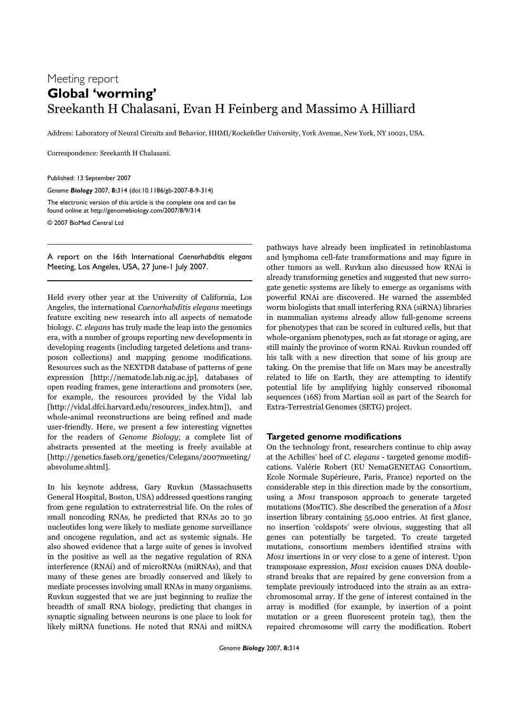## Meeting report **Global 'worming'** Sreekanth H Chalasani, Evan H Feinberg and Massimo A Hilliard

Address: Laboratory of Neural Circuits and Behavior, HHMI/Rockefeller University, York Avenue, New York, NY 10021, USA.

Correspondence: Sreekanth H Chalasani.

Published: 13 September 2007

*Genome Biology* 2007, **8:**314 (doi:10.1186/gb-2007-8-9-314)

The electronic version of this article is the complete one and can be found online at http://genomebiology.com/2007/8/9/314

© 2007 BioMed Central Ltd

A report on the 16th International *Caenorhabditis elegans* Meeting, Los Angeles, USA, 27 June-1 July 2007.

Held every other year at the University of California, Los Angeles, the international Caenorhabditis elegans meetings feature exciting new research into all aspects of nematode biology. C. elegans has truly made the leap into the genomics era, with a number of groups reporting new developments in developing reagents (including targeted deletions and transposon collections) and mapping genome modifications. Resources such as the NEXTDB database of patterns of gene expression [http://nematode.lab.nig.ac.jp], databases of open reading frames, gene interactions and promoters (see, for example, the resources provided by the Vidal lab [http://vidal.dfci.harvard.edu/resources\_index.htm]), and whole-animal reconstructions are being refined and made user-friendly. Here, we present a few interesting vignettes for the readers of Genome Biology; a complete list of abstracts presented at the meeting is freely available at [http://genetics.faseb.org/genetics/Celegans/2007meeting/ absvolume.shtml].

In his keynote address, Gary Ruvkun (Massachusetts General Hospital, Boston, USA) addressed questions ranging from gene regulation to extraterrestrial life. On the roles of small noncoding RNAs, he predicted that RNAs 20 to 30 nucleotides long were likely to mediate genome surveillance and oncogene regulation, and act as systemic signals. He also showed evidence that a large suite of genes is involved in the positive as well as the negative regulation of RNA interference (RNAi) and of microRNAs (miRNAs), and that many of these genes are broadly conserved and likely to mediate processes involving small RNAs in many organisms. Ruvkun suggested that we are just beginning to realize the breadth of small RNA biology, predicting that changes in synaptic signaling between neurons is one place to look for likely miRNA functions. He noted that RNAi and miRNA

pathways have already been implicated in retinoblastoma and lymphoma cell-fate transformations and may figure in other tumors as well. Ruvkun also discussed how RNAi is already transforming genetics and suggested that new surrogate genetic systems are likely to emerge as organisms with powerful RNAi are discovered. He warned the assembled worm biologists that small interfering RNA (siRNA) libraries in mammalian systems already allow full-genome screens for phenotypes that can be scored in cultured cells, but that whole-organism phenotypes, such as fat storage or aging, are still mainly the province of worm RNAi. Ruvkun rounded off his talk with a new direction that some of his group are taking. On the premise that life on Mars may be ancestrally related to life on Earth, they are attempting to identify potential life by amplifying highly conserved ribosomal sequences (16S) from Martian soil as part of the Search for Extra-Terrestrial Genomes (SETG) project.

## **Targeted genome modifications**

On the technology front, researchers continue to chip away at the Achilles' heel of C. elegans - targeted genome modifications. Valérie Robert (EU NemaGENETAG Consortium, Ecole Normale Supérieure, Paris, France) reported on the considerable step in this direction made by the consortium, using a Mos1 transposon approach to generate targeted mutations (MosTIC). She described the generation of a Mos1 insertion library containing 55,000 entries. At first glance, no insertion 'coldspots' were obvious, suggesting that all genes can potentially be targeted. To create targeted mutations, consortium members identified strains with Mos1 insertions in or very close to a gene of interest. Upon transposase expression, Mos1 excision causes DNA doublestrand breaks that are repaired by gene conversion from a template previously introduced into the strain as an extrachromosomal array. If the gene of interest contained in the array is modified (for example, by insertion of a point mutation or a green fluorescent protein tag), then the repaired chromosome will carry the modification. Robert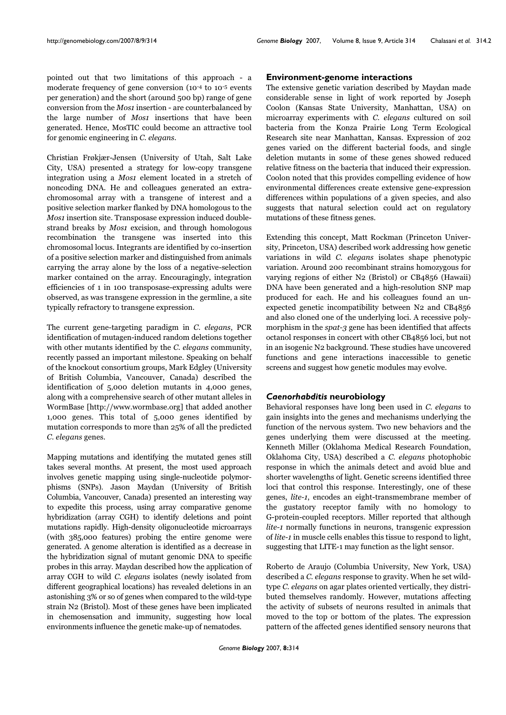pointed out that two limitations of this approach - a moderate frequency of gene conversion (10-4 to 10-5 events per generation) and the short (around 500 bp) range of gene conversion from the Mos1 insertion - are counterbalanced by the large number of *Mos1* insertions that have been generated. Hence, MosTIC could become an attractive tool for genomic engineering in C. elegans.

Christian Frøkjær-Jensen (University of Utah, Salt Lake City, USA) presented a strategy for low-copy transgene integration using a *Mos1* element located in a stretch of noncoding DNA. He and colleagues generated an extrachromosomal array with a transgene of interest and a positive selection marker flanked by DNA homologous to the Mos1 insertion site. Transposase expression induced doublestrand breaks by *Mos1* excision, and through homologous recombination the transgene was inserted into this chromosomal locus. Integrants are identified by co-insertion of a positive selection marker and distinguished from animals carrying the array alone by the loss of a negative-selection marker contained on the array. Encouragingly, integration efficiencies of 1 in 100 transposase-expressing adults were observed, as was transgene expression in the germline, a site typically refractory to transgene expression.

The current gene-targeting paradigm in C. elegans, PCR identification of mutagen-induced random deletions together with other mutants identified by the C. elegans community, recently passed an important milestone. Speaking on behalf of the knockout consortium groups, Mark Edgley (University of British Columbia, Vancouver, Canada) described the identification of 5,000 deletion mutants in 4,000 genes, along with a comprehensive search of other mutant alleles in WormBase [http://www.wormbase.org] that added another 1,000 genes. This total of 5,000 genes identified by mutation corresponds to more than 25% of all the predicted C. elegans genes.

Mapping mutations and identifying the mutated genes still takes several months. At present, the most used approach involves genetic mapping using single-nucleotide polymorphisms (SNPs). Jason Maydan (University of British Columbia, Vancouver, Canada) presented an interesting way to expedite this process, using array comparative genome hybridization (array CGH) to identify deletions and point mutations rapidly. High-density oligonucleotide microarrays (with 385,000 features) probing the entire genome were generated. A genome alteration is identified as a decrease in the hybridization signal of mutant genomic DNA to specific probes in this array. Maydan described how the application of array CGH to wild C. elegans isolates (newly isolated from different geographical locations) has revealed deletions in an astonishing 3% or so of genes when compared to the wild-type strain N2 (Bristol). Most of these genes have been implicated in chemosensation and immunity, suggesting how local environments influence the genetic make-up of nematodes.

## **Environment-genome interactions**

The extensive genetic variation described by Maydan made considerable sense in light of work reported by Joseph Coolon (Kansas State University, Manhattan, USA) on microarray experiments with C. elegans cultured on soil bacteria from the Konza Prairie Long Term Ecological Research site near Manhattan, Kansas. Expression of 202 genes varied on the different bacterial foods, and single deletion mutants in some of these genes showed reduced relative fitness on the bacteria that induced their expression. Coolon noted that this provides compelling evidence of how environmental differences create extensive gene-expression differences within populations of a given species, and also suggests that natural selection could act on regulatory mutations of these fitness genes.

Extending this concept, Matt Rockman (Princeton University, Princeton, USA) described work addressing how genetic variations in wild C. elegans isolates shape phenotypic variation. Around 200 recombinant strains homozygous for varying regions of either N2 (Bristol) or CB4856 (Hawaii) DNA have been generated and a high-resolution SNP map produced for each. He and his colleagues found an unexpected genetic incompatibility between N2 and CB4856 and also cloned one of the underlying loci. A recessive polymorphism in the *spat-3* gene has been identified that affects octanol responses in concert with other CB4856 loci, but not in an isogenic N2 background. These studies have uncovered functions and gene interactions inaccessible to genetic screens and suggest how genetic modules may evolve.

## *Caenorhabditis* **neurobiology**

Behavioral responses have long been used in C. elegans to gain insights into the genes and mechanisms underlying the function of the nervous system. Two new behaviors and the genes underlying them were discussed at the meeting. Kenneth Miller (Oklahoma Medical Research Foundation, Oklahoma City, USA) described a C. elegans photophobic response in which the animals detect and avoid blue and shorter wavelengths of light. Genetic screens identified three loci that control this response. Interestingly, one of these genes, lite-1, encodes an eight-transmembrane member of the gustatory receptor family with no homology to G-protein-coupled receptors. Miller reported that although lite-1 normally functions in neurons, transgenic expression of lite-1 in muscle cells enables this tissue to respond to light, suggesting that LITE-1 may function as the light sensor.

Roberto de Araujo (Columbia University, New York, USA) described a C. elegans response to gravity. When he set wildtype C. elegans on agar plates oriented vertically, they distributed themselves randomly. However, mutations affecting the activity of subsets of neurons resulted in animals that moved to the top or bottom of the plates. The expression pattern of the affected genes identified sensory neurons that